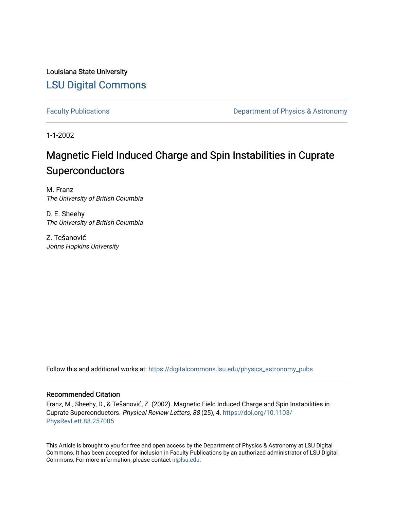Louisiana State University [LSU Digital Commons](https://digitalcommons.lsu.edu/)

[Faculty Publications](https://digitalcommons.lsu.edu/physics_astronomy_pubs) **Exercise 2 and Table 2 and Table 2 and Table 2 and Table 2 and Table 2 and Table 2 and Table 2 and Table 2 and Table 2 and Table 2 and Table 2 and Table 2 and Table 2 and Table 2 and Table 2 and Table** 

1-1-2002

## Magnetic Field Induced Charge and Spin Instabilities in Cuprate Superconductors

M. Franz The University of British Columbia

D. E. Sheehy The University of British Columbia

Z. Tešanović Johns Hopkins University

Follow this and additional works at: [https://digitalcommons.lsu.edu/physics\\_astronomy\\_pubs](https://digitalcommons.lsu.edu/physics_astronomy_pubs?utm_source=digitalcommons.lsu.edu%2Fphysics_astronomy_pubs%2F5011&utm_medium=PDF&utm_campaign=PDFCoverPages) 

## Recommended Citation

Franz, M., Sheehy, D., & Tešanović, Z. (2002). Magnetic Field Induced Charge and Spin Instabilities in Cuprate Superconductors. Physical Review Letters, 88 (25), 4. [https://doi.org/10.1103/](https://doi.org/10.1103/PhysRevLett.88.257005) [PhysRevLett.88.257005](https://doi.org/10.1103/PhysRevLett.88.257005)

This Article is brought to you for free and open access by the Department of Physics & Astronomy at LSU Digital Commons. It has been accepted for inclusion in Faculty Publications by an authorized administrator of LSU Digital Commons. For more information, please contact [ir@lsu.edu](mailto:ir@lsu.edu).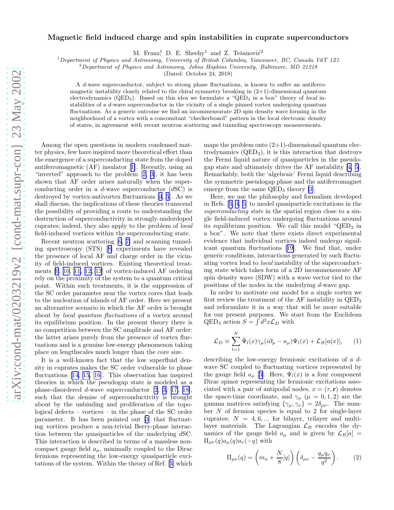## <span id="page-1-0"></span>Magnetic field induced charge and spin instabilities in cuprate superconductors

M. Franz<sup>1</sup>, D. E. Sheehy<sup>1</sup> and Z. Tešanović<sup>2</sup>

 $1$ Department of Physics and Astronomy, University of British Columbia, Vancouver, BC, Canada V6T 1Z1

 ${}^{2}$ Department of Physics and Astronomy, Johns Hopkins University, Baltimore, MD 21218

(Dated: October 24, 2018)

A d-wave superconductor, subject to strong phase fluctuations, is known to suffer an antiferromagnetic instability closely related to the chiral symmetry breaking in  $(2+1)$ -dimensional quantum electrodynamics ( $QED_3$ ). Based on this idea we formulate a " $QED_3$  in a box" theory of local instabilities of a d-wave superconductor in the vicinity of a single pinned vortex undergoing quantum fluctuations. As a generic outcome we find an incommensurate 2D spin density wave forming in the neighborhood of a vortex with a concomitant "checkerboard" pattern in the local electronic density of states, in agreement with recent neutron scattering and tunneling spectroscopy measurements.

Among the open questions in modern condensed matter physics, few have inspired more theoretical effort than the emergence of a superconducting state from the doped antiferromagnetic (AF) insulator[[1\]](#page-4-0). Recently, using an "inverted" approach to the problem[[2, 3\]](#page-4-0), it has been shown that AF order arises naturally when the superconducting order in a  $d$ -wave superconductor  $(dSC)$  is destroyed by vortex-antivortex fluctuations [\[4](#page-4-0), [5](#page-4-0)]. As we shall discuss, the implications of these theories transcend the possibility of providing a route to understanding the destruction of superconductivity in strongly-underdoped cuprates; indeed, they also apply to the problem of local field-induced vortices within the superconducting state.

Recent neutron scattering[[6, 7\]](#page-4-0) and scanning tunneling spectroscopy (STS)[[8\]](#page-4-0) experiments have revealed the presence of local AF and charge order in the vicinity of field-induced vortices. Existing theoretical treatments [\[9](#page-4-0), [10](#page-4-0), [11, 12, 13](#page-4-0)] of vortex-induced AF ordering rely on the proximity of the system to a quantum critical point. Within such treatments, it is the suppression of the SC order parameter near the vortex cores that leads to the nucleation of islands of AF order. Here we present an alternative scenario in which the AF order is brought about by local quantum fluctuations of a vortex around its equilibrium position. In the present theory there is no competition between the SC amplitude and AF order: the latter arises purely from the presence of vortex fluctuations and is a genuine low-energy phenomenon taking place on lengthscales much longer than the core size.

It is a well-known fact that the low superfluid density in cuprates makes the SC order vulnerable to phase fluctuations[[14, 15, 16](#page-4-0)]. This observation has inspired theories in which the pseudogap state is modeled as a phase-disordered d-wave superconductor[[2](#page-4-0), [3, 17, 18\]](#page-4-0), such that the demise of superconductivity is brought about by the unbinding and proliferation of the topological defects – vortices – in the phase of the SC order parameter. It has been pointed out [\[3](#page-4-0)] that fluctuating vortices produce a non-trivial Berry-phase interaction between the quasiparticles of the underlying dSC. This interaction is described in terms of a massless noncompact gauge field  $a_{\mu}$ , minimally coupled to the Dirac fermions representing the low-energy quasiparticle excitations of the system. Within the theory of Ref.[[3\]](#page-4-0) which

maps the problem onto  $(2+1)$ -dimensional quantum electrodynamics  $(QED<sub>3</sub>)$ , it is this interaction that destroys the Fermi liquid nature of quasiparticles in the pseudogap state and ultimately drives the AF instability [\[4, 5\]](#page-4-0). Remarkably, both the 'algebraic' Fermi liquid describing the symmetric pseudogap phase and the antiferromagnet emerge from the same  $QED_3$  theory [\[3\]](#page-4-0).

Here, we use the philosophy and formalism developed in Refs.[[3, 4](#page-4-0), [5](#page-4-0)] to model quasiparticle excitations in the superconducting state in the spatial region close to a single field-induced vortex undergoing fluctuations around its equilibrium position. We call this model " $QED<sub>3</sub>$  in a box". We note that there exists direct experimental evidence that individual vortices indeed undergo significant quantum fluctuations[[19\]](#page-4-0). We find that, under generic conditions, interactions generated by such fluctuating vortex lead to local instability of the superconducting state which takes form of a 2D incommensurate AF spin density wave (SDW) with a wave vector tied to the positions of the nodes in the underlying d-wave gap.

In order to motivate our model for a single vortex we first review the treatment of the AF instability in QED<sup>3</sup> and reformulate it in a way that will be more suitable for our present purposes. We start from the Euclidean QED<sub>3</sub> action  $S = \int d^3x \mathcal{L}_D$  with

$$
\mathcal{L}_D \equiv \sum_{l=1}^N \bar{\Psi}_l(x)\gamma_\mu(i\partial_\mu - a_\mu)\Psi_l(x) + \mathcal{L}_B[a(x)], \qquad (1)
$$

describing the low-energy fermionic excitations of a dwave SC coupled to fluctuating vortices represented by the gauge field  $a_{\mu}$  [[3\]](#page-4-0). Here,  $\Psi_l(x)$  is a four component Dirac spinor representing the fermionic excitations associated with a pair of antipodal nodes,  $x = (\tau, \mathbf{r})$  denotes the space-time coordinate, and  $\gamma_{\mu}$  ( $\mu = 0, 1, 2$ ) are the gamma matrices satisfying  $\{\gamma_{\mu}, \gamma_{\nu}\} = 2\delta_{\mu\nu}$ . The number N of fermion species is equal to 2 for single-layer cuprates;  $N = 4, 6, \dots$  for bilayer, trilayer and multilayer materials. The Lagrangian  $\mathcal{L}_B$  encodes the dynamics of the gauge field  $a_{\mu}$  and is given by  $\mathcal{L}_B[a] =$  $\Pi_{\mu\nu}(q)a_{\mu}(q)a_{\nu}(-q)$  with

$$
\Pi_{\mu\nu}(q) = \left(m_a + \frac{N}{8}|q|\right)\left(\delta_{\mu\nu} - \frac{q_\mu q_\nu}{q^2}\right). \tag{2}
$$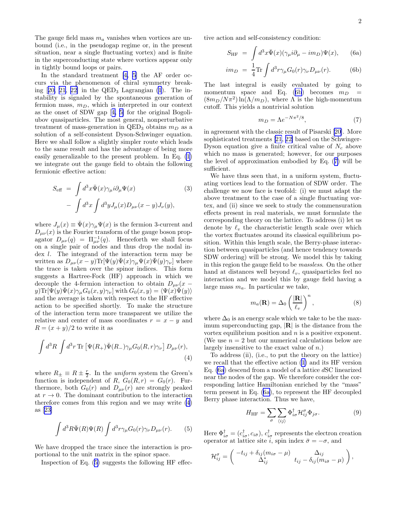<span id="page-2-0"></span>The gauge field mass  $m_a$  vanishes when vortices are unbound (i.e., in the pseudogap regime or, in the present situation, near a single fluctuating vortex) and is finite in the superconducting state where vortices appear only in tightly bound loops or pairs.

In the standard treatment [\[4, 5](#page-4-0)] the AF order occurs via the phenomenon of chiral symmetry break-ing $[20, 21, 22]$  $[20, 21, 22]$  in the QED<sub>3</sub> Lagrangian  $(1)$ . The instability is signaled by the spontaneous generation of fermion mass,  $m_D$ , which is interpreted in our context as the onset of SDW gap[[4, 5\]](#page-4-0) for the original Bogoliubov quasiparticles. The most general, nonperturbative treatment of mass-generation in  $QED_3$  obtains  $m_D$  as a solution of a self-consistent Dyson-Schwinger equation. Here we shall follow a slightly simpler route which leads to the same result and has the advantage of being more easily generalizable to the present problem. In Eq. [\(1](#page-1-0)) we integrate out the gauge field to obtain the following fermionic effective action:

$$
S_{\text{eff}} = \int d^3x \bar{\Psi}(x)\gamma_{\mu} i\partial_{\mu}\Psi(x) \qquad (3)
$$

$$
- \int d^3x \int d^3y J_{\mu}(x)D_{\mu\nu}(x-y)J_{\nu}(y),
$$

where  $J_{\mu}(x) \equiv \bar{\Psi}(x)\gamma_{\mu}\Psi(x)$  is the fermion 3-current and  $D_{\mu\nu}(x)$  is the Fourier transform of the gauge boson propagator  $D_{\mu\nu}(q) = \Pi_{\mu\nu}^{-1}(q)$ . Henceforth we shall focus on a single pair of nodes and thus drop the nodal index *l*. The integrand of the interaction term may be written as  $D_{\mu\nu}(x-y) \text{Tr}[\Psi(y)\Psi(x)\gamma_{\mu}\Psi(x)\Psi(y)\gamma_{\nu}]$  where the trace is taken over the spinor indices. This form suggests a Hartree-Fock (HF) approach in which we decouple the 4-fermion interaction to obtain  $D_{\mu\nu}(x$  $y$ )Tr $[\Psi(y)\overline{\Psi}(x)\gamma_{\mu}G_0(x,y)\gamma_{\nu}]$  with  $G_0(x,y)=\langle \Psi(x)\overline{\Psi}(y)\rangle$ and the average is taken with respect to the HF effective action to be specified shortly. To make the structure of the interaction term more transparent we utilize the relative and center of mass coordinates  $r = x - y$  and  $R = (x + y)/2$  to write it as

$$
\int d^3R \int d^3r \,\text{Tr}\left[\Psi(R_+)\bar{\Psi}(R_-)\gamma_\mu G_0(R,r)\gamma_\nu\right]D_{\mu\nu}(r),\tag{4}
$$

where  $R_{\pm} \equiv R \pm \frac{r}{2}$ . In the uniform system the Green's function is independent of R,  $G_0(R,r) = G_0(r)$ . Furthermore, both  $G_0(r)$  and  $D_{\mu\nu}(r)$  are strongly peaked at  $r \to 0$ . The dominant contribution to the interaction therefore comes from this region and we may write (4) as[[23\]](#page-4-0)

$$
\int d^3R \bar{\Psi}(R)\Psi(R)\int d^3r \gamma_\mu G_0(r)\gamma_\nu D_{\mu\nu}(r). \qquad (5)
$$

We have dropped the trace since the interaction is proportional to the unit matrix in the spinor space.

Inspection of Eq. (5) suggests the following HF effec-

tive action and self-consistency condition:

$$
S_{\rm HF} = \int d^3x \bar{\Psi}(x) (\gamma_\mu i \partial_\mu - im_D) \Psi(x), \qquad \text{(6a)}
$$

$$
im_D = \frac{1}{4} \text{Tr} \int d^3 r \gamma_\mu G_0(r) \gamma_\nu D_{\mu\nu}(r). \tag{6b}
$$

The last integral is easily evaluated by going to momentum space and Eq. (6b) becomes  $m_D$  $(8m_D/N\pi^2)\ln(\Lambda/m_D)$ , where  $\Lambda$  is the high-momentum cutoff. This yields a nontrivial solution

$$
m_D = \Lambda e^{-N\pi^2/8},\tag{7}
$$

in agreement with the classic result of Pisarski[[20\]](#page-4-0). More sophisticated treatments [\[21](#page-4-0), [22\]](#page-4-0) based on the Schwinger-Dyson equation give a finite critical value of  $N_c$  above which no mass is generated; however, for our purposes the level of approximation embodied by Eq. (7) will be sufficient.

We have thus seen that, in a uniform system, fluctuating vortices lead to the formation of SDW order. The challenge we now face is twofold: (i) we must adapt the above treatment to the case of a single fluctuating vortex, and (ii) since we seek to study the commensuration effects present in real materials, we must formulate the corresponding theory on the lattice. To address (i) let us denote by  $\ell_v$  the characteristic length scale over which the vortex fluctuates around its classical equilibrium position. Within this length scale, the Berry-phase interaction between quasiparticles (and hence tendency towards SDW ordering) will be strong. We model this by taking in this region the gauge field to be massless. On the other hand at distances well beyond  $\ell_v$ , quasiparticles feel no interaction and we model this by gauge field having a large mass  $m_a$ . In particular we take,

$$
m_a(\mathbf{R}) = \Delta_0 \left(\frac{|\mathbf{R}|}{\ell_v}\right)^n, \tag{8}
$$

where  $\Delta_0$  is an energy scale which we take to be the maximum superconducting gap,  $|\mathbf{R}|$  is the distance from the vortex equilibrium position and n is a positive exponent. (We use  $n = 2$  but our numerical calculations below are largely insensitive to the exact value of  $n$ .)

To address (ii), (i.e., to put the theory on the lattice) we recall that the effective action([1\)](#page-1-0) and its HF version Eq. (6a) descend from a model of a lattice dSC linearized near the nodes of the gap. We therefore consider the corresponding lattice Hamiltonian enriched by the "mass" term present in Eq. (6a), to represent the HF decoupled Berry phase interaction. Thus we have,

$$
H_{\rm HF} = \sum_{\sigma} \sum_{\langle ij \rangle} \Phi_{i\sigma}^{\dagger} \mathcal{H}_{ij}^{\sigma} \Phi_{j\sigma}.
$$
 (9)

Here  $\Phi_{i\sigma}^{\dagger} = (c_{i\sigma}^{\dagger}, c_{i\bar{\sigma}}), c_{i\sigma}^{\dagger}$  represents the electron creation operator at lattice site i, spin index  $\bar{\sigma} = -\sigma$ , and

$$
\mathcal{H}_{ij}^{\sigma} = \begin{pmatrix} -t_{ij} + \delta_{ij}(m_{i\sigma} - \mu) & \Delta_{ij} \\ \Delta_{ij}^{*} & t_{ij} - \delta_{ij}(m_{i\bar{\sigma}} - \mu) \end{pmatrix},
$$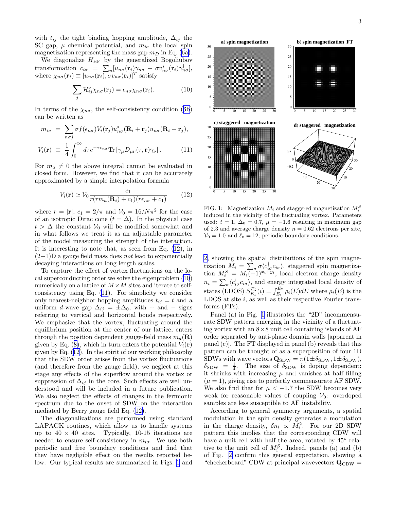<span id="page-3-0"></span>with  $t_{ij}$  the tight binding hopping amplitude,  $\Delta_{ij}$  the SC gap,  $\mu$  chemical potential, and  $m_{i\sigma}$  the local spin magnetization representing the mass gap  $m_D$  in Eq. [\(6a\)](#page-2-0).

We diagonalize  $H_{\rm HF}$  by the generalized Bogoliubov transformation  $c_{i\sigma} = \sum_{n} [u_{n\sigma}(\mathbf{r}_i)\gamma_{n\sigma} + \sigma v_{n\bar{\sigma}}^*(\mathbf{r}_i)\gamma_{n\bar{\sigma}}^{\dagger}],$ where  $\chi_{n\sigma}(\mathbf{r}_i) \equiv [u_{n\sigma}(\mathbf{r}_i), \sigma v_{n\sigma}(\mathbf{r}_i)]^T$  satisfy

$$
\sum_{j} \mathcal{H}_{ij}^{\sigma} \chi_{n\sigma}(\mathbf{r}_{j}) = \epsilon_{n\sigma} \chi_{n\sigma}(\mathbf{r}_{i}). \tag{10}
$$

Interms of the  $\chi_{n\sigma}$ , the self-consistency condition ([6b](#page-2-0)) can be written as

$$
m_{i\sigma} = \sum_{n\sigma j} \sigma f(\epsilon_{n\sigma}) V_i(\mathbf{r}_j) u_{n\sigma}^*(\mathbf{R}_i + \mathbf{r}_j) u_{n\sigma}(\mathbf{R}_i - \mathbf{r}_j),
$$
  

$$
V_i(\mathbf{r}) \equiv \frac{1}{4} \int^{\infty} d\tau e^{-\tau \epsilon_{n\sigma}} \text{Tr} \left[ \gamma_\mu D_{\mu\nu}(\tau, \mathbf{r}) \gamma_\nu \right]. \tag{11}
$$

 $4J_0$ For  $m_a \neq 0$  the above integral cannot be evaluated in closed form. However, we find that it can be accurately approximated by a simple interpolation formula

$$
V_i(\mathbf{r}) \simeq \mathcal{V}_0 \frac{c_1}{r(rm_a(\mathbf{R}_i) + c_1)(r\epsilon_{n\sigma} + c_1)}\tag{12}
$$

where  $r = |\mathbf{r}|$ ,  $c_1 = 2/\pi$  and  $\mathcal{V}_0 = 16/N\pi^2$  for the case of an isotropic Dirac cone  $(t = \Delta)$ . In the physical case  $t > \Delta$  the constant  $V_0$  will be modified somewhat and in what follows we treat it as an adjustable parameter of the model measuring the strength of the interaction. It is interesting to note that, as seen from Eq. (12), in  $(2+1)$ D a gauge field mass does not lead to exponentially decaying interactions on long length scales.

To capture the effect of vortex fluctuations on the local superconducting order we solve the eigenproblem (10) numerically on a lattice of  $M \times M$  sites and iterate to selfconsistency using Eq. (11). For simplicity we consider only nearest-neighbor hopping amplitudes  $t_{ij} = t$  and a uniform d-wave gap  $\Delta_{ij} = \pm \Delta_0$ , with + and – signs referring to vertical and horizontal bonds respectively. We emphasize that the vortex, fluctuating around the equilibrium position at the center of our lattice, enters through the position dependent gauge-field mass  $m_a(\mathbf{R})$ givenby Eq. ([8\)](#page-2-0), which in turn enters the potential  $V_i(\mathbf{r})$ given by Eq. (12). In the spirit of our working philosophy that the SDW order arises from the vortex fluctuations (and therefore from the gauge field), we neglect at this stage any effects of the superflow around the vortex or suppression of  $\Delta_{ij}$  in the core. Such effects are well understood and will be included in a future publication. We also neglect the effects of changes in the fermionic spectrum due to the onset of SDW on the interaction mediated by Berry gauge field Eq. (12).

The diagonalizations are performed using standard LAPACK routines, which allow us to handle systems up to  $40 \times 40$  sites. Typically, 10-15 iterations are needed to ensure self-consistency in  $m_{i\sigma}$ . We use both periodic and free boundary conditions and find that they have negligible effect on the results reported below. Our typical results are summarized in Figs. 1 and



FIG. 1: Magnetization  $M_i$  and staggered magnetization  $M_i^S$ induced in the vicinity of the fluctuating vortex. Parameters used:  $t = 1$ ,  $\Delta_0 = 0.7$ ,  $\mu = -1.6$  resulting in maximum gap of 2.3 and average charge density  $n = 0.62$  electrons per site,  $V_0 = 1.0$  and  $\ell_v = 12$ ; periodic boundary conditions.

[2](#page-4-0), showing the spatial distributions of the spin magnetization  $M_i = \sum_{\sigma} \sigma \langle c_{i\sigma}^{\dagger} c_{i\sigma} \rangle$ , staggered spin magnetization  $M_i^S = M_i(-1)^{x_i+y_i}$ , local electron charge density  $n_i = \sum_{\sigma} \langle c_{i\sigma}^{\dagger} c_{i\sigma} \rangle$ , and energy integrated local density of states (LDOS)  $S_{E_1}^{E_2}(i) = \int_{E_1}^{E_2} \rho_i(E) dE$  where  $\rho_i(E)$  is the LDOS at site  $i$ , as well as their respective Fourier transforms (FTs).

Panel (a) in Fig. 1 illustrates the "2D" incommensurate SDW pattern emerging in the vicinity of a fluctuating vortex with an  $8\times 8$  unit cell containing islands of AF order separated by anti-phase domain walls [apparent in panel (c)]. The FT displayed in panel (b) reveals that this pattern can be thought of as a superposition of four 1D SDWs with wave vectors  $\mathbf{Q}_{SDW} = \pi (1 \pm \delta_{SDW}, 1 \pm \delta_{SDW}),$  $\delta_{SDW}$  =  $\frac{1}{4}$ . The size of  $\delta_{SDW}$  is doping dependent: it shrinks with increasing  $\mu$  and vanishes at half filling  $(\mu = 1)$ , giving rise to perfectly commensurate AF SDW. We also find that for  $\mu < -1.7$  the SDW becomes very weak for reasonable values of coupling  $V_0$ : overdoped samples are less susceptible to AF instability.

According to general symmetry arguments, a spatial modulation in the spin density generates a modulation in the charge density,  $\delta n_i \propto M_i^2$ . For our 2D SDW pattern this implies that the corresponding CDW will have a unit cell with half the area, rotated by  $45^{\circ}$  relative to the unit cell of  $M_i^S$ . Indeed, panels (a) and (b) of Fig. [2](#page-4-0) confirm this general expectation, showing a "checkerboard" CDW at principal wavevectors  $\mathbf{Q}_{CDW} =$